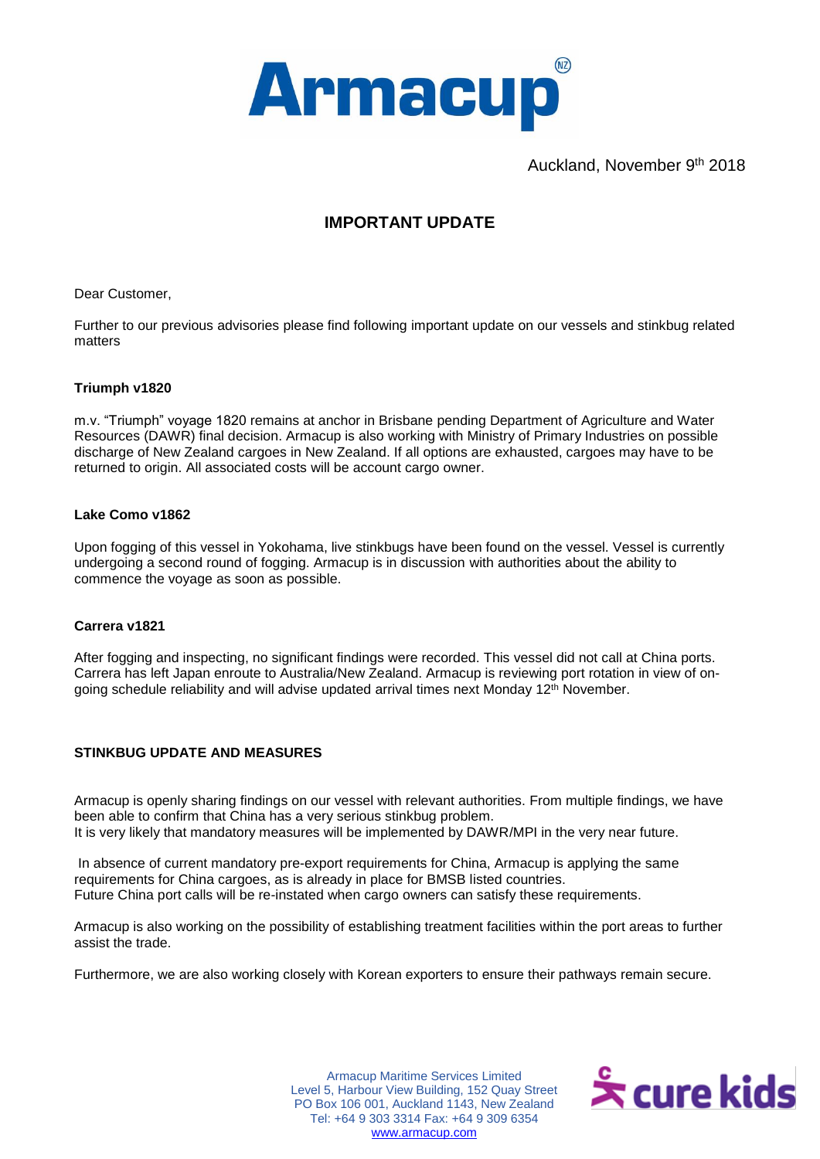

Auckland, November 9<sup>th</sup> 2018

# **IMPORTANT UPDATE**

Dear Customer,

Further to our previous advisories please find following important update on our vessels and stinkbug related matters

### **Triumph v1820**

m.v. "Triumph" voyage 1820 remains at anchor in Brisbane pending Department of Agriculture and Water Resources (DAWR) final decision. Armacup is also working with Ministry of Primary Industries on possible discharge of New Zealand cargoes in New Zealand. If all options are exhausted, cargoes may have to be returned to origin. All associated costs will be account cargo owner.

#### **Lake Como v1862**

Upon fogging of this vessel in Yokohama, live stinkbugs have been found on the vessel. Vessel is currently undergoing a second round of fogging. Armacup is in discussion with authorities about the ability to commence the voyage as soon as possible.

#### **Carrera v1821**

After fogging and inspecting, no significant findings were recorded. This vessel did not call at China ports. Carrera has left Japan enroute to Australia/New Zealand. Armacup is reviewing port rotation in view of ongoing schedule reliability and will advise updated arrival times next Monday 12<sup>th</sup> November.

## **STINKBUG UPDATE AND MEASURES**

Armacup is openly sharing findings on our vessel with relevant authorities. From multiple findings, we have been able to confirm that China has a very serious stinkbug problem. It is very likely that mandatory measures will be implemented by DAWR/MPI in the very near future.

In absence of current mandatory pre-export requirements for China, Armacup is applying the same requirements for China cargoes, as is already in place for BMSB listed countries. Future China port calls will be re-instated when cargo owners can satisfy these requirements.

Armacup is also working on the possibility of establishing treatment facilities within the port areas to further assist the trade.

Furthermore, we are also working closely with Korean exporters to ensure their pathways remain secure.

 PO Box 106 001, Auckland 1143, New Zealand Armacup Maritime Services Limited Level 5, Harbour View Building, 152 Quay Street Tel: +64 9 303 3314 Fax: +64 9 309 6354 [www.armacup.com](http://www.armacup.com/)